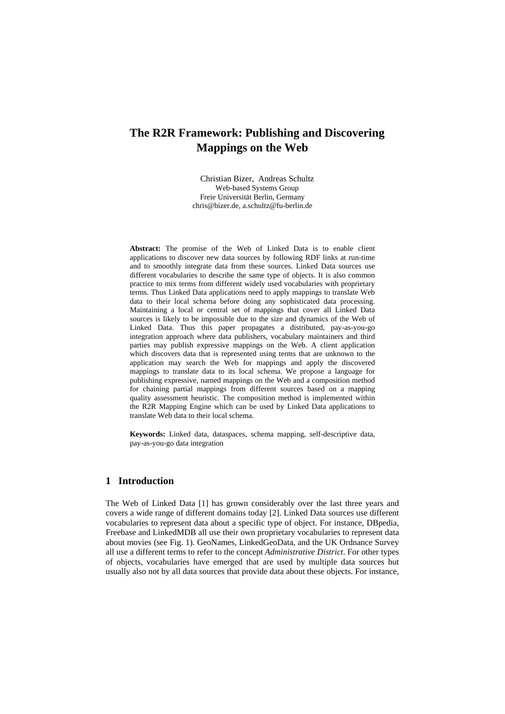# **The R2R Framework: Publishing and Discovering Mappings on the Web**

Christian Bizer, Andreas Schultz Web-based Systems Group Freie Universität Berlin, Germany chris@bizer.de, a.schultz@fu-berlin.de

**Abstract:** The promise of the Web of Linked Data is to enable client applications to discover new data sources by following RDF links at run-time and to smoothly integrate data from these sources. Linked Data sources use different vocabularies to describe the same type of objects. It is also common practice to mix terms from different widely used vocabularies with proprietary terms. Thus Linked Data applications need to apply mappings to translate Web data to their local schema before doing any sophisticated data processing. Maintaining a local or central set of mappings that cover all Linked Data sources is likely to be impossible due to the size and dynamics of the Web of Linked Data. Thus this paper propagates a distributed, pay-as-you-go integration approach where data publishers, vocabulary maintainers and third parties may publish expressive mappings on the Web. A client application which discovers data that is represented using terms that are unknown to the application may search the Web for mappings and apply the discovered mappings to translate data to its local schema. We propose a language for publishing expressive, named mappings on the Web and a composition method for chaining partial mappings from different sources based on a mapping quality assessment heuristic. The composition method is implemented within the R2R Mapping Engine which can be used by Linked Data applications to translate Web data to their local schema.

**Keywords:** Linked data, dataspaces, schema mapping, self-descriptive data, pay-as-you-go data integration

# **1 Introduction**

The Web of Linked Data [1] has grown considerably over the last three years and covers a wide range of different domains today [2]. Linked Data sources use different vocabularies to represent data about a specific type of object. For instance, DBpedia, Freebase and LinkedMDB all use their own proprietary vocabularies to represent data about movies (see Fig. 1). GeoNames, LinkedGeoData, and the UK Ordnance Survey all use a different terms to refer to the concept *Administrative District*. For other types of objects, vocabularies have emerged that are used by multiple data sources but usually also not by all data sources that provide data about these objects. For instance,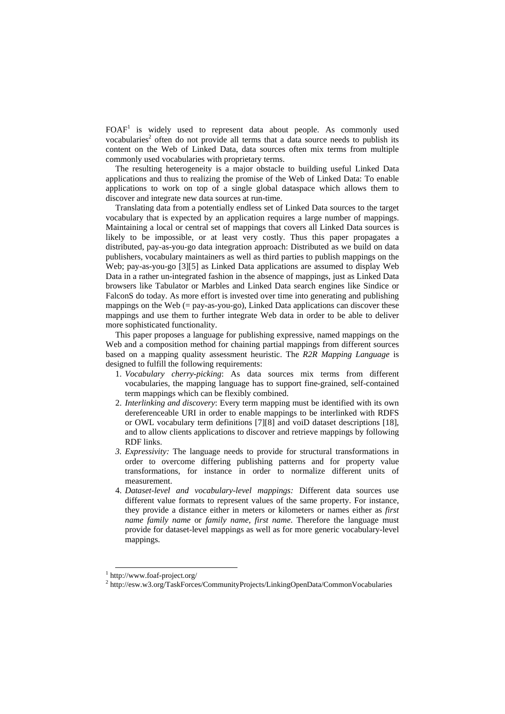$FOAF<sup>1</sup>$  is widely used to represent data about people. As commonly used vocabularies<sup>2</sup> often do not provide all terms that a data source needs to publish its content on the Web of Linked Data, data sources often mix terms from multiple commonly used vocabularies with proprietary terms.

The resulting heterogeneity is a major obstacle to building useful Linked Data applications and thus to realizing the promise of the Web of Linked Data: To enable applications to work on top of a single global dataspace which allows them to discover and integrate new data sources at run-time.

Translating data from a potentially endless set of Linked Data sources to the target vocabulary that is expected by an application requires a large number of mappings. Maintaining a local or central set of mappings that covers all Linked Data sources is likely to be impossible, or at least very costly. Thus this paper propagates a distributed, pay-as-you-go data integration approach: Distributed as we build on data publishers, vocabulary maintainers as well as third parties to publish mappings on the Web; pay-as-you-go [3][5] as Linked Data applications are assumed to display Web Data in a rather un-integrated fashion in the absence of mappings, just as Linked Data browsers like Tabulator or Marbles and Linked Data search engines like Sindice or FalconS do today. As more effort is invested over time into generating and publishing mappings on the Web  $(=$  pay-as-you-go), Linked Data applications can discover these mappings and use them to further integrate Web data in order to be able to deliver more sophisticated functionality.

This paper proposes a language for publishing expressive, named mappings on the Web and a composition method for chaining partial mappings from different sources based on a mapping quality assessment heuristic. The *R2R Mapping Language* is designed to fulfill the following requirements:

- 1. *Vocabulary cherry-picking*: As data sources mix terms from different vocabularies, the mapping language has to support fine-grained, self-contained term mappings which can be flexibly combined.
- 2. *Interlinking and discovery*: Every term mapping must be identified with its own dereferenceable URI in order to enable mappings to be interlinked with RDFS or OWL vocabulary term definitions [7][8] and voiD dataset descriptions [18], and to allow clients applications to discover and retrieve mappings by following RDF links.
- *3. Expressivity:* The language needs to provide for structural transformations in order to overcome differing publishing patterns and for property value transformations, for instance in order to normalize different units of measurement.
- 4. *Dataset-level and vocabulary-level mappings:* Different data sources use different value formats to represent values of the same property. For instance, they provide a distance either in meters or kilometers or names either as *first name family name* or *family name, first name*. Therefore the language must provide for dataset-level mappings as well as for more generic vocabulary-level mappings.

 <sup>1</sup> http://www.foaf-project.org/

<sup>&</sup>lt;sup>2</sup> http://esw.w3.org/TaskForces/CommunityProjects/LinkingOpenData/CommonVocabularies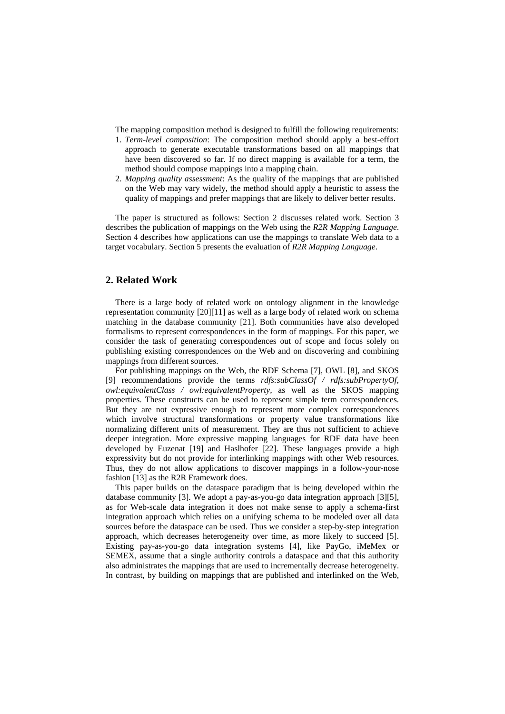The mapping composition method is designed to fulfill the following requirements:

- 1. *Term-level composition*: The composition method should apply a best-effort approach to generate executable transformations based on all mappings that have been discovered so far. If no direct mapping is available for a term, the method should compose mappings into a mapping chain.
- 2. *Mapping quality assessment*: As the quality of the mappings that are published on the Web may vary widely, the method should apply a heuristic to assess the quality of mappings and prefer mappings that are likely to deliver better results.

The paper is structured as follows: Section 2 discusses related work. Section 3 describes the publication of mappings on the Web using the *R2R Mapping Language*. Section 4 describes how applications can use the mappings to translate Web data to a target vocabulary. Section 5 presents the evaluation of *R2R Mapping Language*.

### **2. Related Work**

There is a large body of related work on ontology alignment in the knowledge representation community [20][11] as well as a large body of related work on schema matching in the database community [21]. Both communities have also developed formalisms to represent correspondences in the form of mappings. For this paper, we consider the task of generating correspondences out of scope and focus solely on publishing existing correspondences on the Web and on discovering and combining mappings from different sources.

For publishing mappings on the Web, the RDF Schema [7], OWL [8], and SKOS [9] recommendations provide the terms *rdfs:subClassOf / rdfs:subPropertyOf*, *owl:equivalentClass / owl:equivalentProperty,* as well as the SKOS mapping properties. These constructs can be used to represent simple term correspondences. But they are not expressive enough to represent more complex correspondences which involve structural transformations or property value transformations like normalizing different units of measurement. They are thus not sufficient to achieve deeper integration. More expressive mapping languages for RDF data have been developed by Euzenat [19] and Haslhofer [22]. These languages provide a high expressivity but do not provide for interlinking mappings with other Web resources. Thus, they do not allow applications to discover mappings in a follow-your-nose fashion [13] as the R2R Framework does.

This paper builds on the dataspace paradigm that is being developed within the database community [3]. We adopt a pay-as-you-go data integration approach [3][5], as for Web-scale data integration it does not make sense to apply a schema-first integration approach which relies on a unifying schema to be modeled over all data sources before the dataspace can be used. Thus we consider a step-by-step integration approach, which decreases heterogeneity over time, as more likely to succeed [5]. Existing pay-as-you-go data integration systems [4], like PayGo, iMeMex or SEMEX, assume that a single authority controls a dataspace and that this authority also administrates the mappings that are used to incrementally decrease heterogeneity. In contrast, by building on mappings that are published and interlinked on the Web,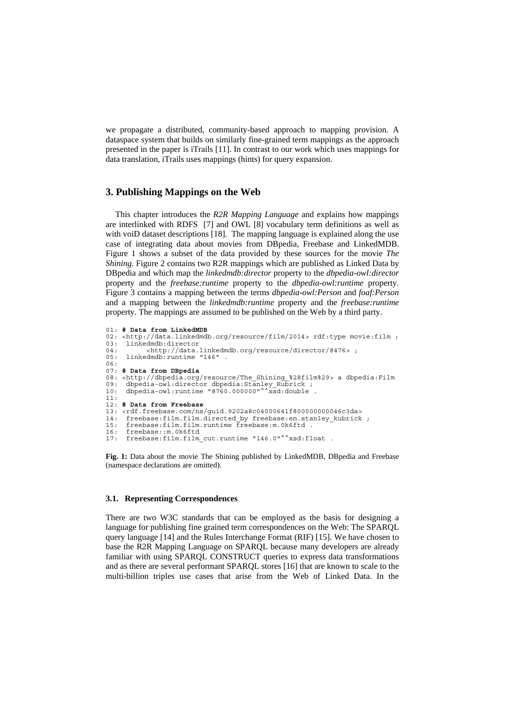we propagate a distributed, community-based approach to mapping provision. A dataspace system that builds on similarly fine-grained term mappings as the approach presented in the paper is iTrails [11]. In contrast to our work which uses mappings for data translation, iTrails uses mappings (hints) for query expansion.

### **3. Publishing Mappings on the Web**

This chapter introduces the *R2R Mapping Language* and explains how mappings are interlinked with RDFS [7] and OWL [8] vocabulary term definitions as well as with voiD dataset descriptions [18]. The mapping language is explained along the use case of integrating data about movies from DBpedia, Freebase and LinkedMDB. Figure 1 shows a subset of the data provided by these sources for the movie *The Shining*. Figure 2 contains two R2R mappings which are published as Linked Data by DBpedia and which map the *linkedmdb:director* property to the *dbpedia-owl:director* property and the *freebase:runtime* property to the *dbpedia-owl:runtime* property. Figure 3 contains a mapping between the terms *dbpedia-owl:Person* and *foaf:Person* and a mapping between the *linkedmdb:runtime* property and the *freebase:runtime* property. The mappings are assumed to be published on the Web by a third party.

```
01: # Data from LinkedMDB
02: <http://data.linkedmdb.org/resource/film/2014> rdf:type movie:film ;
03: linkedmdb:director<br>04: <http://data.linkedmdb.org/resource/director/8476>;
05: linkedmdb:runtime "146" . 
06: 
07: # Data from DBpedia
08: <http://dbpedia.org/resource/The_Shining_%28film%29> a dbpedia:Film 09: dbpedia-owl:director dbpedia:Stanley Kubrick :
09: dbpedia-owl:director dbpedia:Stanley Kubrick ;
10: dbpedia-owl:runtime "8760.000000"^^xsd:double . 
11: 
12: # Data from Freebase
13: <rdf.freebase.com/ns/guid.9202a8c04000641f800000000046c3da> 
14: freebase:film.film.directed_by freebase:en.stanley_kubrick ;<br>15: freebase:film_film_runtime_freebase:m.0k6ftd .
      freebase:film.film.runtime freebase:m.0k6ftd .
16: freebase::m.0k6ftd 
17: freebase:film.film_cut.runtime "146.0"^^xsd:float .
```
**Fig. 1:** Data about the movie The Shining published by LinkedMDB, DBpedia and Freebase (namespace declarations are omitted).

#### **3.1. Representing Correspondences**

There are two W3C standards that can be employed as the basis for designing a language for publishing fine grained term correspondences on the Web: The SPARQL query language [14] and the Rules Interchange Format (RIF) [15]. We have chosen to base the R2R Mapping Language on SPARQL because many developers are already familiar with using SPARQL CONSTRUCT queries to express data transformations and as there are several performant SPARQL stores [16] that are known to scale to the multi-billion triples use cases that arise from the Web of Linked Data. In the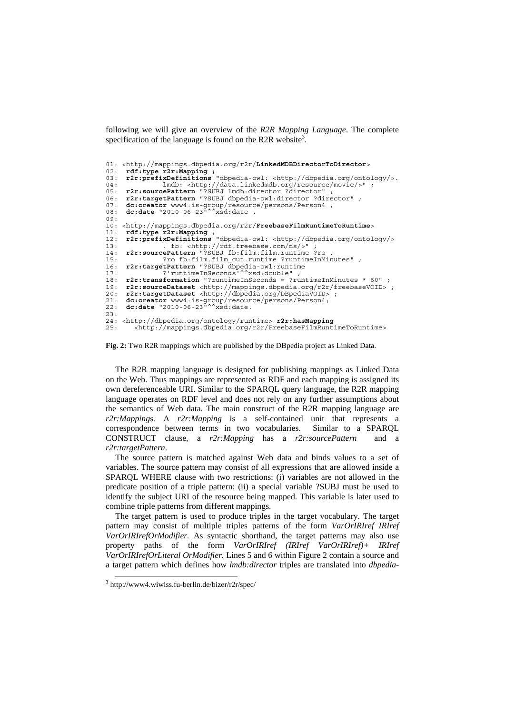following we will give an overview of the *R2R Mapping Language*. The complete specification of the language is found on the R2R website<sup>3</sup>.

```
01: <http://mappings.dbpedia.org/r2r/LinkedMDBDirectorToDirector> 
02: rdf:type r2r:Mapping ;
03: r2r:prefixDefinitions "dbpedia-owl: <http://dbpedia.org/ontology/>. 
04: lmdb: <http://data.linkedmdb.org/resource/movie/>" ;<br>04: lmdb: <http://data.linkedmdb.org/resource/movie/>" ;<br>05: r2r:sourcePattern "?SIBJ Imdb:director ?director" :
05: r2r:sourcePattern "?SUBJ lmdb:director ?director" ; 
06: r2r:targetPattern "?SUBJ dbpedia-owl:director ?director" ; 
07: dc:creator www4:is-group/resource/persons/Person4;<br>08: dc:date "2010-06-23"^^xsd:date .
09: 
10: <http://mappings.dbpedia.org/r2r/FreebaseFilmRuntimeToRuntime><br>11: rdf:tvpe r2r:Mapping :
11: rdf:type r2r:Mapping ; 
12: r2r:prefixDefinitions "dbpedia-owl: <http://dbpedia.org/ontology/> 
13: . fb: <http://rdf.freebase.com/ns/>" ; 
14: r2r:sourcePattern "?SUBJ fb:film.film.runtime ?ro . 
15: ?ro fb:film.film_cut.runtime ?runtimeInMinutes" ;<br>16: r2r:targetPattern "?SUBJ_dbpedia-owl:runtime
16: r2r:targetPattern "?SUBJ dbpedia-owl:runtime 
17: ?'runtimeInSeconds'^^xsd:double" ; 
18: r2r:transformation "?runtimeInSeconds = ?runtimeInMinutes * 60" ; 
19: r2r:sourceDataset <http://mappings.dbpedia.org/r2r/freebaseVOID> ; 
20: r2r:targetDataset <http://dbpedia.org/DBpediaVOID> ; 
21: dc:creator www4:is-group/resource/persons/Person4; 
22: dc:date "2010-06-23"^^xsd:date. 
23: 
24: <http://dbpedia.org/ontology/runtime> r2r:hasMapping 
        25: <http://mappings.dbpedia.org/r2r/FreebaseFilmRuntimeToRuntime>
```
**Fig. 2:** Two R2R mappings which are published by the DBpedia project as Linked Data.

The R2R mapping language is designed for publishing mappings as Linked Data on the Web. Thus mappings are represented as RDF and each mapping is assigned its own dereferenceable URI. Similar to the SPARQL query language, the R2R mapping language operates on RDF level and does not rely on any further assumptions about the semantics of Web data. The main construct of the R2R mapping language are *r2r:Mapping*s*.* A *r2r:Mapping* is a self-contained unit that represents a correspondence between terms in two vocabularies. Similar to a SPARQL CONSTRUCT clause, a *r2r:Mapping* has a *r2r:sourcePattern* and a *r2r:targetPattern*.

The source pattern is matched against Web data and binds values to a set of variables. The source pattern may consist of all expressions that are allowed inside a SPARQL WHERE clause with two restrictions: (i) variables are not allowed in the predicate position of a triple pattern; (ii) a special variable ?SUBJ must be used to identify the subject URI of the resource being mapped. This variable is later used to combine triple patterns from different mappings.

The target pattern is used to produce triples in the target vocabulary. The target pattern may consist of multiple triples patterns of the form *VarOrIRIref IRIref VarOrIRIrefOrModifier.* As syntactic shorthand, the target patterns may also use property paths of the form *VarOrIRIref (IRIref VarOrIRIref)+ IRIref VarOrIRIrefOrLiteral OrModifier.* Lines 5 and 6 within Figure 2 contain a source and a target pattern which defines how *lmdb:director* triples are translated into *dbpedia-*

 <sup>3</sup> http://www4.wiwiss.fu-berlin.de/bizer/r2r/spec/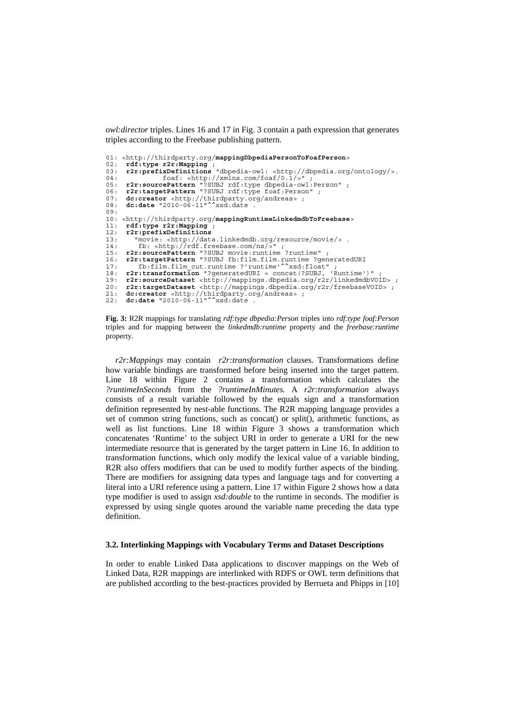*owl:director* triples. Lines 16 and 17 in Fig. 3 contain a path expression that generates triples according to the Freebase publishing pattern.

```
01: <http://thirdparty.org/mappingDbpediaPersonToFoafPerson> 
02: rdf:type r2r:Mapping ; 
03: r2r:prefixDefinitions "dbpedia-owl: <http://dbpedia.org/ontology/>. 
04: foaf: <http://xmlns.com/foaf/0.1/>" ;<br>05: r2r:sourcePattern "?SUBJ rdf:type dbpedia-owl:
05: r2r:sourcePattern "?SUBJ rdf:type dbpedia-owl:Person" ; 
06: r2r:targetPattern "?SUBJ rdf:type foaf:Person" ; 
07: dc:creator <http://thirdparty.org/andreas> ; 
08: dc:date "2010-06-11"^^xsd:date .
09: 
10: <http://thirdparty.org/mappingRuntimeLinkedmdbToFreebase> 
11: rdf:type r2r:Mapping ; 
12: r2r:prefixDefinitions<br>13: "movie: <http://dat
          "movie: <http://data.linkedmdb.org/resource/movie/> .<br>fb: <http://rdf.freebase.com/ns/>" ;
14: fb: <http://rdf.freebase.com/ns/>" ; 
15: r2r:sourcePattern "?SUBJ movie:runtime ?runtime" ; 
16: r2r:targetPattern "?SUBJ fb:film.film.runtime ?generatedURI 
17: fb:film.film_cut.runtime ?'runtime'^^xsd:float" ; 
18: r2r:transformation "?generatedURI = concat(?SUBJ, 'Runtime')" ; 
19: r2r:sourceDataset <http://mappings.dbpedia.org/r2r/linkedmdbVOID> ; 
20: r2r:targetDataset <http://mappings.dbpedia.org/r2r/freebaseVOID> ; 
21: dc:creator <http://thirdparty.org/andreas> ; 
22: dc:date "2010-06-11"^^xsd:date .
```


*r2r:Mappings* may contain *r2r:transformation* clauses. Transformations define how variable bindings are transformed before being inserted into the target pattern. Line 18 within Figure 2 contains a transformation which calculates the *?runtimeInSeconds* from the *?runtimeInMinutes.* A *r2r:transformation* always consists of a result variable followed by the equals sign and a transformation definition represented by nest-able functions. The R2R mapping language provides a set of common string functions, such as concat() or split(), arithmetic functions, as well as list functions. Line 18 within Figure 3 shows a transformation which concatenates 'Runtime' to the subject URI in order to generate a URI for the new intermediate resource that is generated by the target pattern in Line 16. In addition to transformation functions, which only modify the lexical value of a variable binding, R2R also offers modifiers that can be used to modify further aspects of the binding. There are modifiers for assigning data types and language tags and for converting a literal into a URI reference using a pattern. Line 17 within Figure 2 shows how a data type modifier is used to assign *xsd:double* to the runtime in seconds. The modifier is expressed by using single quotes around the variable name preceding the data type definition.

### **3.2. Interlinking Mappings with Vocabulary Terms and Dataset Descriptions**

In order to enable Linked Data applications to discover mappings on the Web of Linked Data, R2R mappings are interlinked with RDFS or OWL term definitions that are published according to the best-practices provided by Berrueta and Phipps in [10]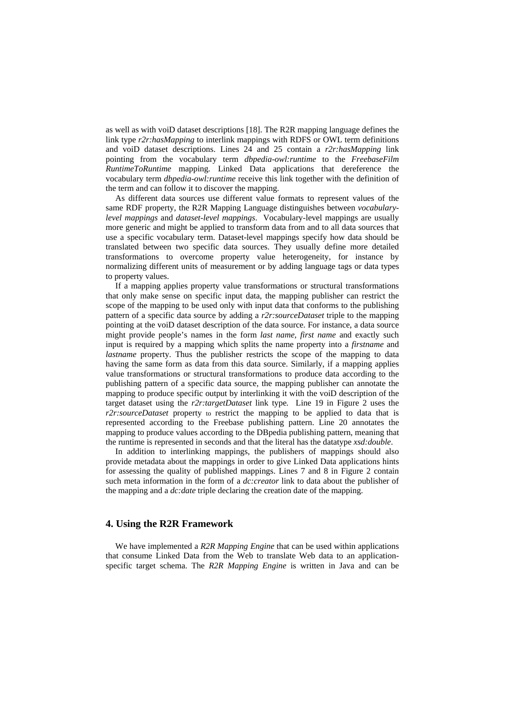as well as with voiD dataset descriptions [18]. The R2R mapping language defines the link type *r2r:hasMapping* to interlink mappings with RDFS or OWL term definitions and voiD dataset descriptions. Lines 24 and 25 contain a *r2r:hasMapping* link pointing from the vocabulary term *dbpedia-owl:runtime* to the *FreebaseFilm RuntimeToRuntime* mapping*.* Linked Data applications that dereference the vocabulary term *dbpedia-owl:runtime* receive this link together with the definition of the term and can follow it to discover the mapping.

As different data sources use different value formats to represent values of the same RDF property, the R2R Mapping Language distinguishes between *vocabularylevel mappings* and *dataset-level mappings*. Vocabulary-level mappings are usually more generic and might be applied to transform data from and to all data sources that use a specific vocabulary term. Dataset-level mappings specify how data should be translated between two specific data sources. They usually define more detailed transformations to overcome property value heterogeneity, for instance by normalizing different units of measurement or by adding language tags or data types to property values.

If a mapping applies property value transformations or structural transformations that only make sense on specific input data, the mapping publisher can restrict the scope of the mapping to be used only with input data that conforms to the publishing pattern of a specific data source by adding a *r2r:sourceDataset* triple to the mapping pointing at the voiD dataset description of the data source. For instance, a data source might provide people's names in the form *last name, first name* and exactly such input is required by a mapping which splits the name property into a *firstname* and *lastname* property. Thus the publisher restricts the scope of the mapping to data having the same form as data from this data source. Similarly, if a mapping applies value transformations or structural transformations to produce data according to the publishing pattern of a specific data source, the mapping publisher can annotate the mapping to produce specific output by interlinking it with the voiD description of the target dataset using the *r2r:targetDataset* link type*.* Line 19 in Figure 2 uses the *r2r:sourceDataset* property to restrict the mapping to be applied to data that is represented according to the Freebase publishing pattern. Line 20 annotates the mapping to produce values according to the DBpedia publishing pattern, meaning that the runtime is represented in seconds and that the literal has the datatype *xsd:double*.

In addition to interlinking mappings, the publishers of mappings should also provide metadata about the mappings in order to give Linked Data applications hints for assessing the quality of published mappings. Lines 7 and 8 in Figure 2 contain such meta information in the form of a *dc:creator* link to data about the publisher of the mapping and a *dc:date* triple declaring the creation date of the mapping.

# **4. Using the R2R Framework**

We have implemented a *R2R Mapping Engine* that can be used within applications that consume Linked Data from the Web to translate Web data to an applicationspecific target schema. The *R2R Mapping Engine* is written in Java and can be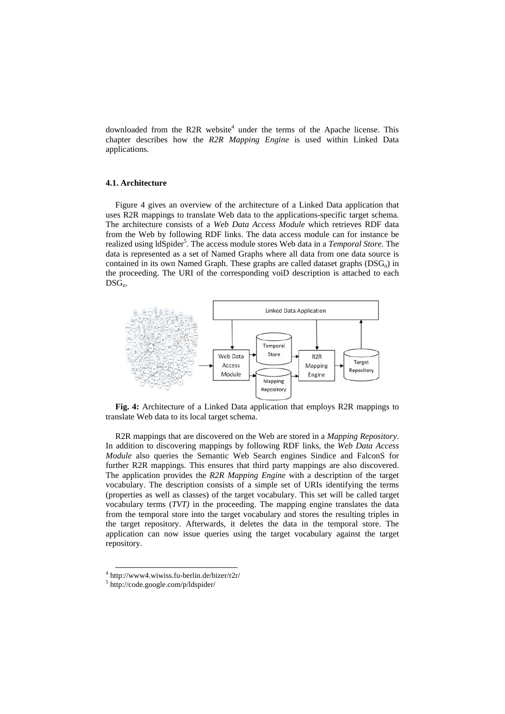downloaded from the R2R website<sup>4</sup> under the terms of the Apache license. This chapter describes how the *R2R Mapping Engine* is used within Linked Data applications.

### **4.1. Architecture**

Figure 4 gives an overview of the architecture of a Linked Data application that uses R2R mappings to translate Web data to the applications-specific target schema. The architecture consists of a *Web Data Access Module* which retrieves RDF data from the Web by following RDF links. The data access module can for instance be realized using ldSpider<sup>5</sup>. The access module stores Web data in a *Temporal Store*. The data is represented as a set of Named Graphs where all data from one data source is contained in its own Named Graph. These graphs are called dataset graphs  $(DSG_n)$  in the proceeding. The URI of the corresponding voiD description is attached to each  $DSG_n$ .



**Fig. 4:** Architecture of a Linked Data application that employs R2R mappings to translate Web data to its local target schema.

R2R mappings that are discovered on the Web are stored in a *Mapping Repository*. In addition to discovering mappings by following RDF links, the *Web Data Access Module* also queries the Semantic Web Search engines Sindice and FalconS for further R2R mappings. This ensures that third party mappings are also discovered. The application provides the *R2R Mapping Engine* with a description of the target vocabulary. The description consists of a simple set of URIs identifying the terms (properties as well as classes) of the target vocabulary. This set will be called target vocabulary terms (*TVT)* in the proceeding. The mapping engine translates the data from the temporal store into the target vocabulary and stores the resulting triples in the target repository. Afterwards, it deletes the data in the temporal store. The application can now issue queries using the target vocabulary against the target repository.

 <sup>4</sup> http://www4.wiwiss.fu-berlin.de/bizer/r2r/

<sup>5</sup> http://code.google.com/p/ldspider/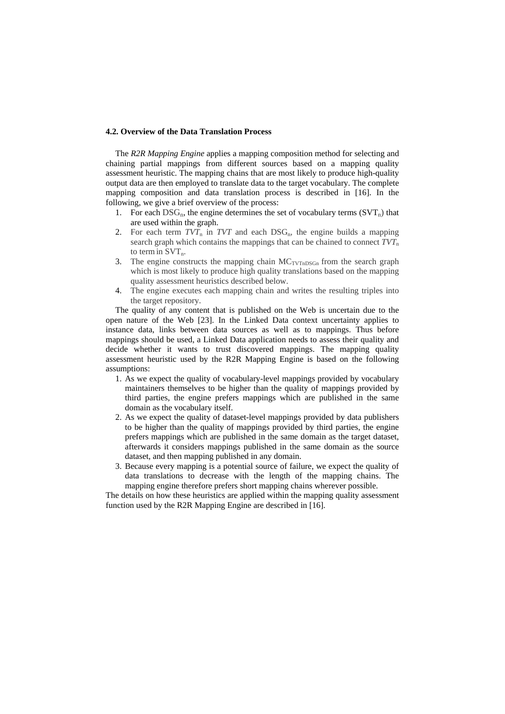#### **4.2. Overview of the Data Translation Process**

The *R2R Mapping Engine* applies a mapping composition method for selecting and chaining partial mappings from different sources based on a mapping quality assessment heuristic. The mapping chains that are most likely to produce high-quality output data are then employed to translate data to the target vocabulary. The complete mapping composition and data translation process is described in [16]. In the following, we give a brief overview of the process:

- 1. For each  $DSG_n$ , the engine determines the set of vocabulary terms  $(SVT_n)$  that are used within the graph.
- 2. For each term  $TVT$ <sub>n</sub> in  $TVT$  and each  $DSG_p$ , the engine builds a mapping search graph which contains the mappings that can be chained to connect  $TVT_n$ to term in  $SVT_n$ .
- 3. The engine constructs the mapping chain  $MC_{TVTnDSGn}$  from the search graph which is most likely to produce high quality translations based on the mapping quality assessment heuristics described below.
- 4. The engine executes each mapping chain and writes the resulting triples into the target repository.

The quality of any content that is published on the Web is uncertain due to the open nature of the Web [23]. In the Linked Data context uncertainty applies to instance data, links between data sources as well as to mappings. Thus before mappings should be used, a Linked Data application needs to assess their quality and decide whether it wants to trust discovered mappings. The mapping quality assessment heuristic used by the R2R Mapping Engine is based on the following assumptions:

- 1. As we expect the quality of vocabulary-level mappings provided by vocabulary maintainers themselves to be higher than the quality of mappings provided by third parties, the engine prefers mappings which are published in the same domain as the vocabulary itself.
- 2. As we expect the quality of dataset-level mappings provided by data publishers to be higher than the quality of mappings provided by third parties, the engine prefers mappings which are published in the same domain as the target dataset, afterwards it considers mappings published in the same domain as the source dataset, and then mapping published in any domain.
- 3. Because every mapping is a potential source of failure, we expect the quality of data translations to decrease with the length of the mapping chains. The mapping engine therefore prefers short mapping chains wherever possible.

The details on how these heuristics are applied within the mapping quality assessment function used by the R2R Mapping Engine are described in [16].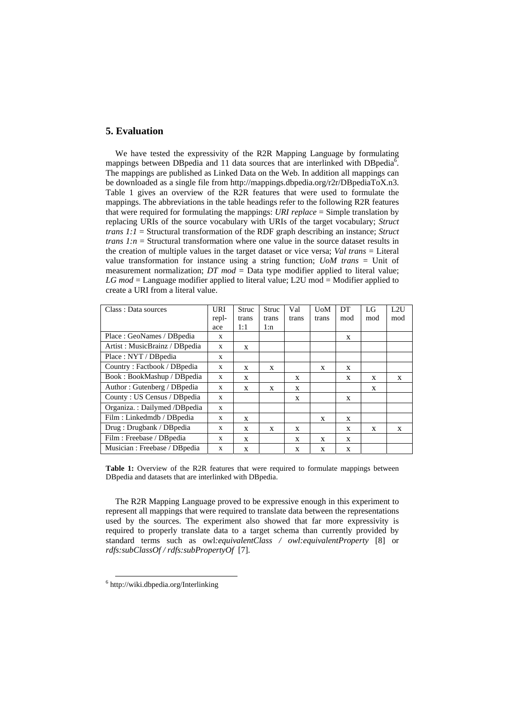## **5. Evaluation**

We have tested the expressivity of the R2R Mapping Language by formulating mappings between DBpedia and 11 data sources that are interlinked with DBpedia<sup>6</sup>. The mappings are published as Linked Data on the Web. In addition all mappings can be downloaded as a single file from http://mappings.dbpedia.org/r2r/DBpediaToX.n3. Table 1 gives an overview of the R2R features that were used to formulate the mappings. The abbreviations in the table headings refer to the following R2R features that were required for formulating the mappings: *URI replace* = Simple translation by replacing URIs of the source vocabulary with URIs of the target vocabulary; *Struct trans 1:1* = Structural transformation of the RDF graph describing an instance; *Struct trans 1:n* = Structural transformation where one value in the source dataset results in the creation of multiple values in the target dataset or vice versa; *Val trans* = Literal value transformation for instance using a string function; *UoM trans* = Unit of measurement normalization; *DT mod* = Data type modifier applied to literal value; *LG mod* = Language modifier applied to literal value; L2U mod = Modifier applied to create a URI from a literal value.

| Class: Data sources           | URI          | Struc | Struc | Val   | UoM   | DT  | LG  | L2U |
|-------------------------------|--------------|-------|-------|-------|-------|-----|-----|-----|
|                               | repl-        | trans | trans | trans | trans | mod | mod | mod |
|                               | ace          | 1:1   | l:n   |       |       |     |     |     |
| Place: GeoNames / DB pedia    | X            |       |       |       |       | X   |     |     |
| Artist: MusicBrainz / DBpedia | X            | X     |       |       |       |     |     |     |
| Place: NYT / DBpedia          | X            |       |       |       |       |     |     |     |
| Country: Factbook / DBpedia   | $\mathbf{x}$ | X     | X     |       | X     | X   |     |     |
| Book: BookMashup / DBpedia    | $\mathbf{x}$ | X     |       | X     |       | X   | X   | X   |
| Author: Gutenberg / DB pedia  | X            | X     | X     | X     |       |     | X   |     |
| County: US Census / DBpedia   | $\mathbf{x}$ |       |       | X     |       | X   |     |     |
| Organiza.: Dailymed /DBpedia  | $\mathbf{x}$ |       |       |       |       |     |     |     |
| Film: Linkedmdb / DBpedia     | X            | X     |       |       | X     | X   |     |     |
| Drug: Drugbank / DB pedia     | X            | X     | X     | X     |       | X   | X   | X   |
| Film : Freebase / DB pedia    | $\mathbf{x}$ | X     |       | X     | X     | X   |     |     |
| Musician: Freebase / DB pedia | X            | X     |       | X     | X     | X   |     |     |

**Table 1:** Overview of the R2R features that were required to formulate mappings between DBpedia and datasets that are interlinked with DBpedia.

The R2R Mapping Language proved to be expressive enough in this experiment to represent all mappings that were required to translate data between the representations used by the sources. The experiment also showed that far more expressivity is required to properly translate data to a target schema than currently provided by standard terms such as owl*:equivalentClass / owl:equivalentProperty* [8] or *rdfs:subClassOf / rdfs:subPropertyOf* [7].

 <sup>6</sup> http://wiki.dbpedia.org/Interlinking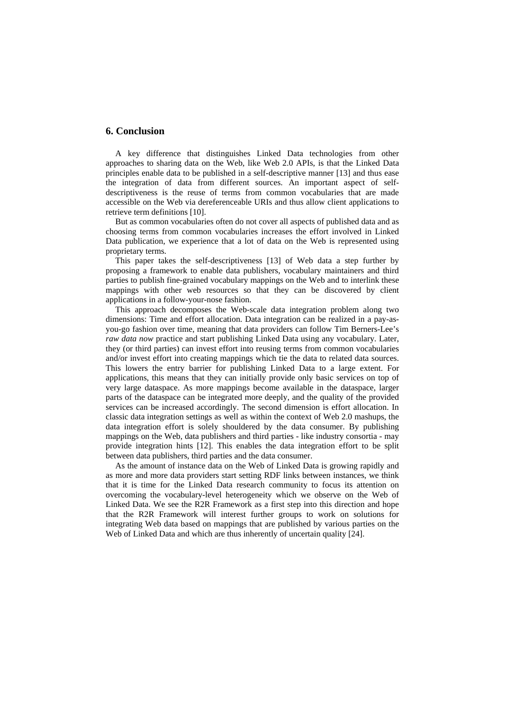# **6. Conclusion**

A key difference that distinguishes Linked Data technologies from other approaches to sharing data on the Web, like Web 2.0 APIs, is that the Linked Data principles enable data to be published in a self-descriptive manner [13] and thus ease the integration of data from different sources. An important aspect of selfdescriptiveness is the reuse of terms from common vocabularies that are made accessible on the Web via dereferenceable URIs and thus allow client applications to retrieve term definitions [10].

But as common vocabularies often do not cover all aspects of published data and as choosing terms from common vocabularies increases the effort involved in Linked Data publication, we experience that a lot of data on the Web is represented using proprietary terms.

This paper takes the self-descriptiveness [13] of Web data a step further by proposing a framework to enable data publishers, vocabulary maintainers and third parties to publish fine-grained vocabulary mappings on the Web and to interlink these mappings with other web resources so that they can be discovered by client applications in a follow-your-nose fashion.

This approach decomposes the Web-scale data integration problem along two dimensions: Time and effort allocation. Data integration can be realized in a pay-asyou-go fashion over time, meaning that data providers can follow Tim Berners-Lee's *raw data now* practice and start publishing Linked Data using any vocabulary. Later, they (or third parties) can invest effort into reusing terms from common vocabularies and/or invest effort into creating mappings which tie the data to related data sources. This lowers the entry barrier for publishing Linked Data to a large extent. For applications, this means that they can initially provide only basic services on top of very large dataspace. As more mappings become available in the dataspace, larger parts of the dataspace can be integrated more deeply, and the quality of the provided services can be increased accordingly. The second dimension is effort allocation. In classic data integration settings as well as within the context of Web 2.0 mashups, the data integration effort is solely shouldered by the data consumer. By publishing mappings on the Web, data publishers and third parties - like industry consortia - may provide integration hints [12]. This enables the data integration effort to be split between data publishers, third parties and the data consumer.

As the amount of instance data on the Web of Linked Data is growing rapidly and as more and more data providers start setting RDF links between instances, we think that it is time for the Linked Data research community to focus its attention on overcoming the vocabulary-level heterogeneity which we observe on the Web of Linked Data. We see the R2R Framework as a first step into this direction and hope that the R2R Framework will interest further groups to work on solutions for integrating Web data based on mappings that are published by various parties on the Web of Linked Data and which are thus inherently of uncertain quality [24].